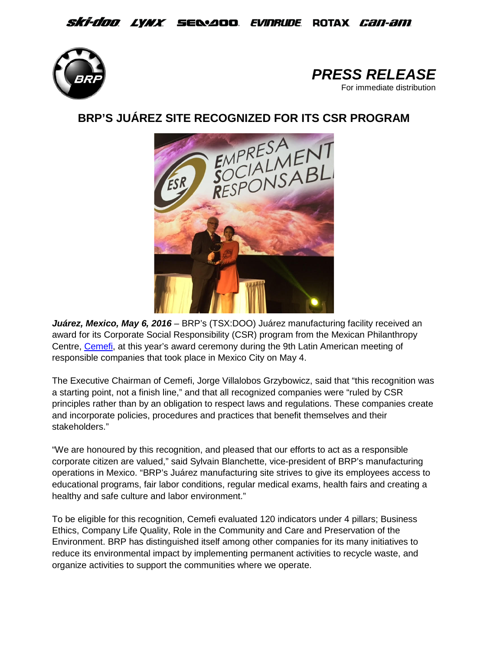## *Ski-doo lynx s*elaod *evinrude* rotax *can-am*





# **BRP'S JUÁREZ SITE RECOGNIZED FOR ITS CSR PROGRAM**



Juárez, Mexico, May 6, 2016 - BRP's (TSX:DOO) Juárez manufacturing facility received an award for its Corporate Social Responsibility (CSR) program from the Mexican Philanthropy Centre, [Cemefi,](http://www.cemefi.org/) at this year's award ceremony during the 9th Latin American meeting of responsible companies that took place in Mexico City on May 4.

The Executive Chairman of Cemefi, Jorge Villalobos Grzybowicz, said that "this recognition was a starting point, not a finish line," and that all recognized companies were "ruled by CSR principles rather than by an obligation to respect laws and regulations. These companies create and incorporate policies, procedures and practices that benefit themselves and their stakeholders."

"We are honoured by this recognition, and pleased that our efforts to act as a responsible corporate citizen are valued," said Sylvain Blanchette, vice-president of BRP's manufacturing operations in Mexico. "BRP's Juárez manufacturing site strives to give its employees access to educational programs, fair labor conditions, regular medical exams, health fairs and creating a healthy and safe culture and labor environment."

To be eligible for this recognition, Cemefi evaluated 120 indicators under 4 pillars; Business Ethics, Company Life Quality, Role in the Community and Care and Preservation of the Environment. BRP has distinguished itself among other companies for its many initiatives to reduce its environmental impact by implementing permanent activities to recycle waste, and organize activities to support the communities where we operate.